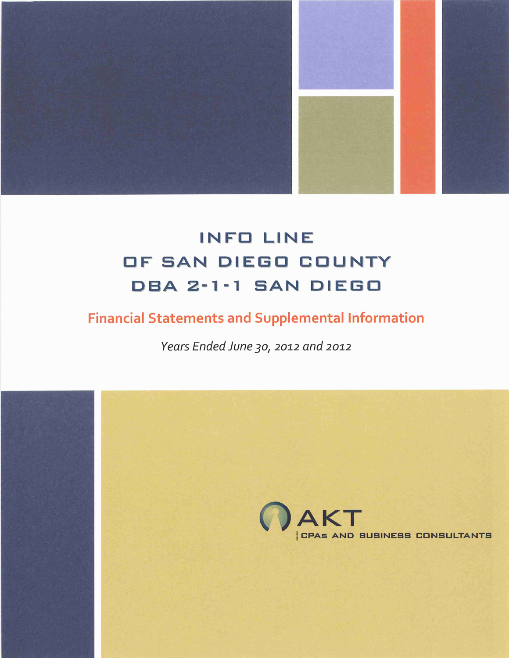

# **Financial Statements and Supplemental Information**

Years Ended June 30, 2012 and 2012

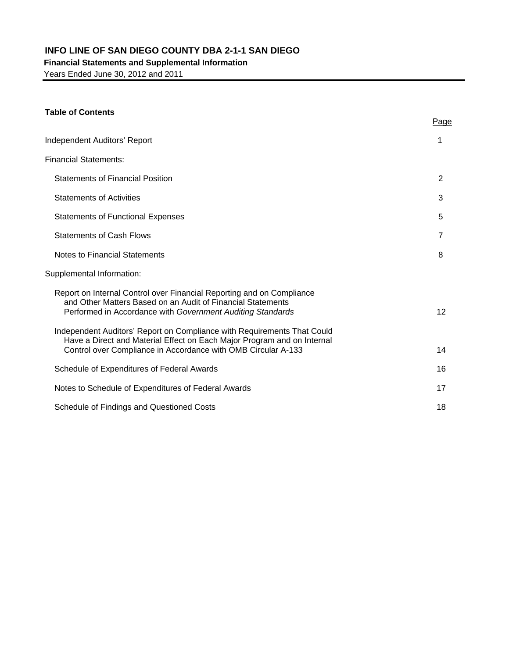# **Financial Statements and Supplemental Information**

Years Ended June 30, 2012 and 2011

## **Table of Contents**

|                                                                                                                                                                                                                     | Page              |
|---------------------------------------------------------------------------------------------------------------------------------------------------------------------------------------------------------------------|-------------------|
| <b>Independent Auditors' Report</b>                                                                                                                                                                                 | 1                 |
| <b>Financial Statements:</b>                                                                                                                                                                                        |                   |
| <b>Statements of Financial Position</b>                                                                                                                                                                             | 2                 |
| <b>Statements of Activities</b>                                                                                                                                                                                     | 3                 |
| <b>Statements of Functional Expenses</b>                                                                                                                                                                            | 5                 |
| <b>Statements of Cash Flows</b>                                                                                                                                                                                     | 7                 |
| Notes to Financial Statements                                                                                                                                                                                       | 8                 |
| Supplemental Information:                                                                                                                                                                                           |                   |
| Report on Internal Control over Financial Reporting and on Compliance<br>and Other Matters Based on an Audit of Financial Statements<br>Performed in Accordance with Government Auditing Standards                  | $12 \overline{ }$ |
| Independent Auditors' Report on Compliance with Requirements That Could<br>Have a Direct and Material Effect on Each Major Program and on Internal<br>Control over Compliance in Accordance with OMB Circular A-133 | 14                |
| Schedule of Expenditures of Federal Awards                                                                                                                                                                          | 16                |
| Notes to Schedule of Expenditures of Federal Awards                                                                                                                                                                 | 17                |
| Schedule of Findings and Questioned Costs                                                                                                                                                                           | 18                |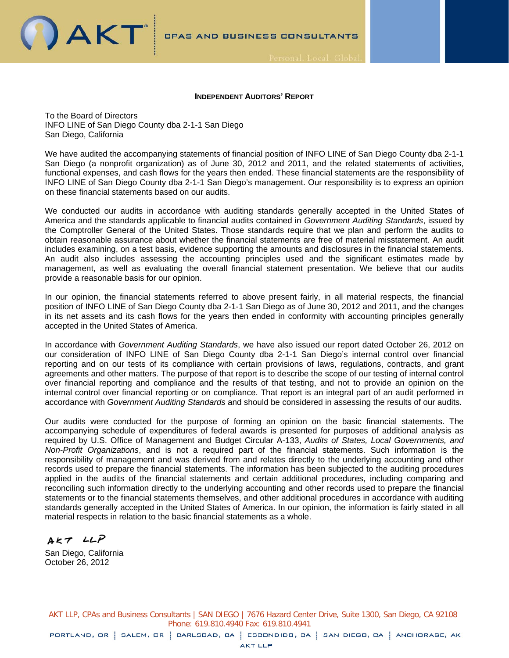

#### **INDEPENDENT AUDITORS' REPORT**

To the Board of Directors INFO LINE of San Diego County dba 2-1-1 San Diego San Diego, California

We have audited the accompanying statements of financial position of INFO LINE of San Diego County dba 2-1-1 San Diego (a nonprofit organization) as of June 30, 2012 and 2011, and the related statements of activities, functional expenses, and cash flows for the years then ended. These financial statements are the responsibility of INFO LINE of San Diego County dba 2-1-1 San Diego's management. Our responsibility is to express an opinion on these financial statements based on our audits.

We conducted our audits in accordance with auditing standards generally accepted in the United States of America and the standards applicable to financial audits contained in *Government Auditing Standards*, issued by the Comptroller General of the United States. Those standards require that we plan and perform the audits to obtain reasonable assurance about whether the financial statements are free of material misstatement. An audit includes examining, on a test basis, evidence supporting the amounts and disclosures in the financial statements. An audit also includes assessing the accounting principles used and the significant estimates made by management, as well as evaluating the overall financial statement presentation. We believe that our audits provide a reasonable basis for our opinion.

In our opinion, the financial statements referred to above present fairly, in all material respects, the financial position of INFO LINE of San Diego County dba 2-1-1 San Diego as of June 30, 2012 and 2011, and the changes in its net assets and its cash flows for the years then ended in conformity with accounting principles generally accepted in the United States of America.

In accordance with *Government Auditing Standards*, we have also issued our report dated October 26, 2012 on our consideration of INFO LINE of San Diego County dba 2-1-1 San Diego's internal control over financial reporting and on our tests of its compliance with certain provisions of laws, regulations, contracts, and grant agreements and other matters. The purpose of that report is to describe the scope of our testing of internal control over financial reporting and compliance and the results of that testing, and not to provide an opinion on the internal control over financial reporting or on compliance. That report is an integral part of an audit performed in accordance with *Government Auditing Standards* and should be considered in assessing the results of our audits.

Our audits were conducted for the purpose of forming an opinion on the basic financial statements. The accompanying schedule of expenditures of federal awards is presented for purposes of additional analysis as required by U.S. Office of Management and Budget Circular A-133, *Audits of States, Local Governments, and Non-Profit Organizations*, and is not a required part of the financial statements. Such information is the responsibility of management and was derived from and relates directly to the underlying accounting and other records used to prepare the financial statements. The information has been subjected to the auditing procedures applied in the audits of the financial statements and certain additional procedures, including comparing and reconciling such information directly to the underlying accounting and other records used to prepare the financial statements or to the financial statements themselves, and other additional procedures in accordance with auditing standards generally accepted in the United States of America. In our opinion, the information is fairly stated in all material respects in relation to the basic financial statements as a whole.

AKT LLP

San Diego, California October 26, 2012

 AKT LLP, CPAs and Business Consultants | SAN DIEGO | 7676 Hazard Center Drive, Suite 1300, San Diego, CA 92108 Phone: 619.810.4940 Fax: 619.810.4941

PORTLAND, OR : SALEM, OR : CARLSBAD, CA : ESCONDIDO, CA : SAN DIEGO, CA : ANCHORAGE, AK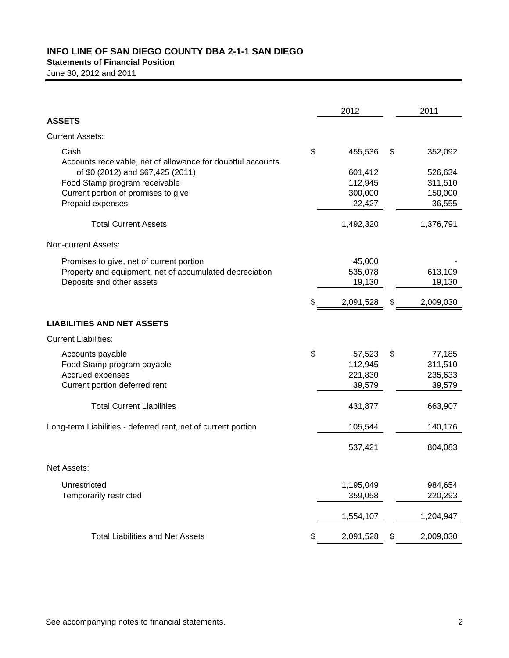## **INFO LINE OF SAN DIEGO COUNTY DBA 2-1-1 SAN DIEGO Statements of Financial Position** June 30, 2012 and 2011

|                                                                     |    | 2012      | 2011            |
|---------------------------------------------------------------------|----|-----------|-----------------|
| <b>ASSETS</b>                                                       |    |           |                 |
| <b>Current Assets:</b>                                              |    |           |                 |
| Cash<br>Accounts receivable, net of allowance for doubtful accounts | \$ | 455,536   | \$<br>352,092   |
| of \$0 (2012) and \$67,425 (2011)                                   |    | 601,412   | 526,634         |
| Food Stamp program receivable                                       |    | 112,945   | 311,510         |
| Current portion of promises to give                                 |    | 300,000   | 150,000         |
| Prepaid expenses                                                    |    | 22,427    | 36,555          |
| <b>Total Current Assets</b>                                         |    | 1,492,320 | 1,376,791       |
| Non-current Assets:                                                 |    |           |                 |
| Promises to give, net of current portion                            |    | 45,000    |                 |
| Property and equipment, net of accumulated depreciation             |    | 535,078   | 613,109         |
| Deposits and other assets                                           |    | 19,130    | 19,130          |
|                                                                     | S  | 2,091,528 | \$<br>2,009,030 |
| <b>LIABILITIES AND NET ASSETS</b>                                   |    |           |                 |
| <b>Current Liabilities:</b>                                         |    |           |                 |
| Accounts payable                                                    | \$ | 57,523    | \$<br>77,185    |
| Food Stamp program payable                                          |    | 112,945   | 311,510         |
| Accrued expenses                                                    |    | 221,830   | 235,633         |
| Current portion deferred rent                                       |    | 39,579    | 39,579          |
| <b>Total Current Liabilities</b>                                    |    | 431,877   | 663,907         |
| Long-term Liabilities - deferred rent, net of current portion       |    | 105,544   | 140,176         |
|                                                                     |    | 537,421   | 804,083         |
| Net Assets:                                                         |    |           |                 |
| Unrestricted                                                        |    | 1,195,049 | 984,654         |
| Temporarily restricted                                              |    | 359,058   | 220,293         |
|                                                                     |    | 1,554,107 | 1,204,947       |
| <b>Total Liabilities and Net Assets</b>                             | \$ | 2,091,528 | \$<br>2,009,030 |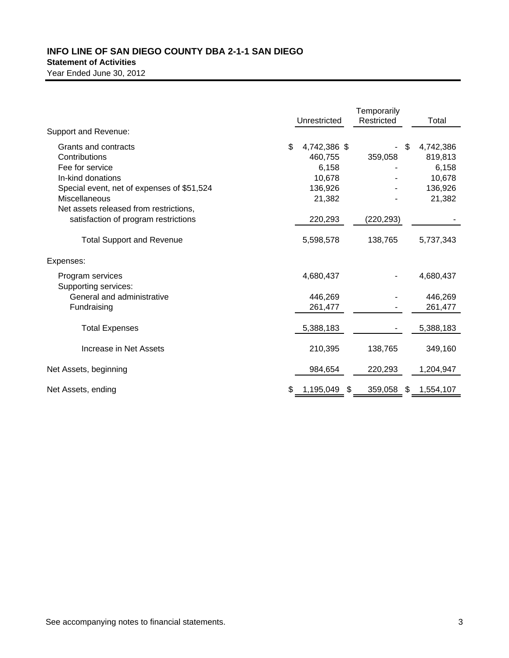#### **INFO LINE OF SAN DIEGO COUNTY DBA 2-1-1 SAN DIEGO Statement of Activities**

|                                            | Temporarily<br>Restricted<br>Unrestricted |                 |            |     | Total     |
|--------------------------------------------|-------------------------------------------|-----------------|------------|-----|-----------|
| Support and Revenue:                       |                                           |                 |            |     |           |
| Grants and contracts                       | \$                                        | 4,742,386 \$    |            | \$  | 4,742,386 |
| Contributions                              |                                           | 460,755         | 359,058    |     | 819,813   |
| Fee for service                            |                                           | 6,158           |            |     | 6,158     |
| In-kind donations                          |                                           | 10,678          |            |     | 10,678    |
| Special event, net of expenses of \$51,524 |                                           | 136,926         |            |     | 136,926   |
| Miscellaneous                              |                                           | 21,382          |            |     | 21,382    |
| Net assets released from restrictions,     |                                           |                 |            |     |           |
| satisfaction of program restrictions       |                                           | 220,293         | (220, 293) |     |           |
| <b>Total Support and Revenue</b>           |                                           | 5,598,578       | 138,765    |     | 5,737,343 |
| Expenses:                                  |                                           |                 |            |     |           |
| Program services                           |                                           | 4,680,437       |            |     | 4,680,437 |
| Supporting services:                       |                                           |                 |            |     |           |
| General and administrative                 |                                           | 446,269         |            |     | 446,269   |
| Fundraising                                |                                           | 261,477         |            |     | 261,477   |
|                                            |                                           |                 |            |     |           |
| <b>Total Expenses</b>                      |                                           | 5,388,183       |            |     | 5,388,183 |
| Increase in Net Assets                     |                                           | 210,395         | 138,765    |     | 349,160   |
| Net Assets, beginning                      |                                           | 984,654         | 220,293    |     | 1,204,947 |
| Net Assets, ending                         | S                                         | 1,195,049<br>\$ | 359,058    | \$. | 1,554,107 |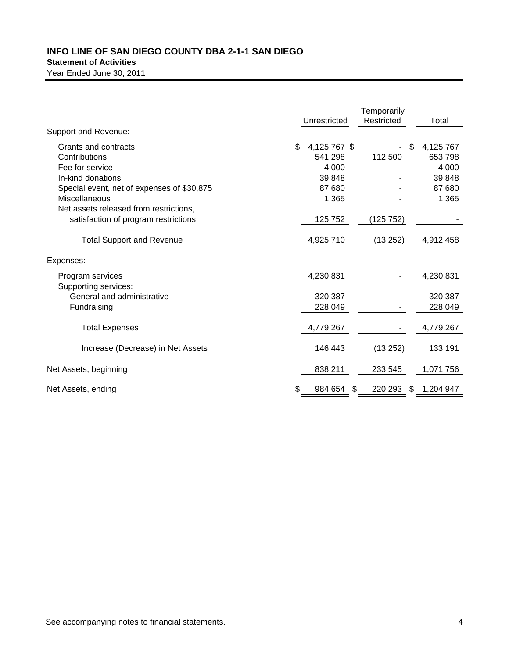#### **INFO LINE OF SAN DIEGO COUNTY DBA 2-1-1 SAN DIEGO Statement of Activities**

|                                            | Unrestricted  | Temporarily<br>Restricted | Total     |
|--------------------------------------------|---------------|---------------------------|-----------|
| Support and Revenue:                       |               |                           |           |
| \$<br>Grants and contracts                 | 4,125,767 \$  | \$                        | 4,125,767 |
| Contributions                              | 541,298       | 112,500                   | 653,798   |
| Fee for service                            | 4,000         |                           | 4,000     |
| In-kind donations                          | 39,848        |                           | 39,848    |
| Special event, net of expenses of \$30,875 | 87,680        |                           | 87,680    |
| Miscellaneous                              | 1,365         |                           | 1,365     |
| Net assets released from restrictions,     |               |                           |           |
| satisfaction of program restrictions       | 125,752       | (125, 752)                |           |
| <b>Total Support and Revenue</b>           | 4,925,710     | (13, 252)                 | 4,912,458 |
| Expenses:                                  |               |                           |           |
| Program services                           | 4,230,831     |                           | 4,230,831 |
| Supporting services:                       |               |                           |           |
| General and administrative                 | 320,387       |                           | 320,387   |
| Fundraising                                | 228,049       |                           | 228,049   |
| <b>Total Expenses</b>                      | 4,779,267     |                           | 4,779,267 |
| Increase (Decrease) in Net Assets          | 146,443       | (13, 252)                 | 133,191   |
| Net Assets, beginning                      | 838,211       | 233,545                   | 1,071,756 |
| Net Assets, ending                         | 984,654<br>\$ | 220,293<br>\$             | 1,204,947 |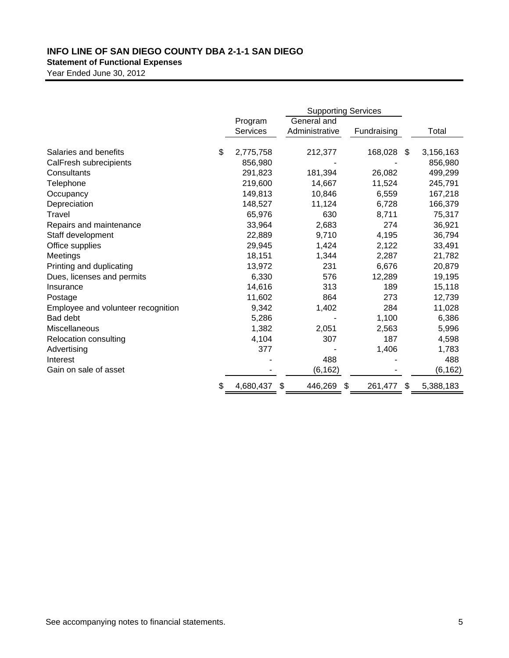# **Statement of Functional Expenses**

|                                    | <b>Supporting Services</b> |           |                |               |    |           |
|------------------------------------|----------------------------|-----------|----------------|---------------|----|-----------|
|                                    |                            | Program   | General and    |               |    |           |
|                                    |                            | Services  | Administrative | Fundraising   |    | Total     |
|                                    |                            |           |                |               |    |           |
| Salaries and benefits              | \$                         | 2,775,758 | 212,377        | 168,028       | S. | 3,156,163 |
| CalFresh subrecipients             |                            | 856,980   |                |               |    | 856,980   |
| Consultants                        |                            | 291,823   | 181,394        | 26,082        |    | 499,299   |
| Telephone                          |                            | 219,600   | 14,667         | 11,524        |    | 245,791   |
| Occupancy                          |                            | 149,813   | 10,846         | 6,559         |    | 167,218   |
| Depreciation                       |                            | 148,527   | 11,124         | 6,728         |    | 166,379   |
| Travel                             |                            | 65,976    | 630            | 8,711         |    | 75,317    |
| Repairs and maintenance            |                            | 33,964    | 2,683          | 274           |    | 36,921    |
| Staff development                  |                            | 22,889    | 9,710          | 4,195         |    | 36,794    |
| Office supplies                    |                            | 29,945    | 1,424          | 2,122         |    | 33,491    |
| Meetings                           |                            | 18,151    | 1,344          | 2,287         |    | 21,782    |
| Printing and duplicating           |                            | 13,972    | 231            | 6,676         |    | 20,879    |
| Dues, licenses and permits         |                            | 6,330     | 576            | 12,289        |    | 19,195    |
| Insurance                          |                            | 14,616    | 313            | 189           |    | 15,118    |
| Postage                            |                            | 11,602    | 864            | 273           |    | 12,739    |
| Employee and volunteer recognition |                            | 9,342     | 1,402          | 284           |    | 11,028    |
| Bad debt                           |                            | 5,286     |                | 1,100         |    | 6,386     |
| Miscellaneous                      |                            | 1,382     | 2,051          | 2,563         |    | 5,996     |
| <b>Relocation consulting</b>       |                            | 4,104     | 307            | 187           |    | 4,598     |
| Advertising                        |                            | 377       |                | 1,406         |    | 1,783     |
| Interest                           |                            |           | 488            |               |    | 488       |
| Gain on sale of asset              |                            |           | (6, 162)       |               |    | (6, 162)  |
|                                    |                            | 4,680,437 | \$<br>446,269  | \$<br>261,477 | S  | 5,388,183 |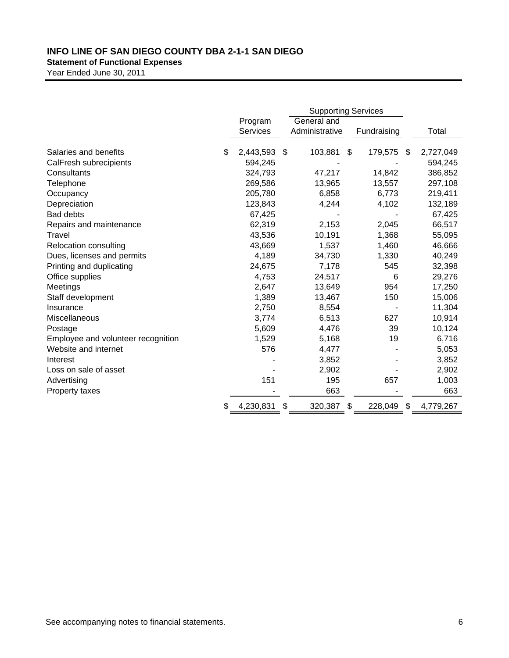# **Statement of Functional Expenses**

|                                    | <b>Supporting Services</b> |                 |    |                |    |             |     |           |
|------------------------------------|----------------------------|-----------------|----|----------------|----|-------------|-----|-----------|
|                                    |                            | Program         |    | General and    |    |             |     |           |
|                                    |                            | <b>Services</b> |    | Administrative |    | Fundraising |     | Total     |
| Salaries and benefits              | \$                         | 2,443,593 \$    |    | 103,881        | S  | 179,575     | \$  | 2,727,049 |
| CalFresh subrecipients             |                            | 594,245         |    |                |    |             |     | 594,245   |
| Consultants                        |                            | 324,793         |    | 47,217         |    | 14,842      |     | 386,852   |
| Telephone                          |                            | 269,586         |    | 13,965         |    | 13,557      |     | 297,108   |
| Occupancy                          |                            | 205,780         |    | 6,858          |    | 6,773       |     | 219,411   |
| Depreciation                       |                            | 123,843         |    | 4,244          |    | 4,102       |     | 132,189   |
| <b>Bad debts</b>                   |                            | 67,425          |    |                |    |             |     | 67,425    |
| Repairs and maintenance            |                            | 62,319          |    | 2,153          |    | 2,045       |     | 66,517    |
| Travel                             |                            | 43,536          |    | 10,191         |    | 1,368       |     | 55,095    |
| <b>Relocation consulting</b>       |                            | 43,669          |    | 1,537          |    | 1,460       |     | 46,666    |
| Dues, licenses and permits         |                            | 4,189           |    | 34,730         |    | 1,330       |     | 40,249    |
| Printing and duplicating           |                            | 24,675          |    | 7,178          |    | 545         |     | 32,398    |
| Office supplies                    |                            | 4,753           |    | 24,517         |    | 6           |     | 29,276    |
| Meetings                           |                            | 2,647           |    | 13,649         |    | 954         |     | 17,250    |
| Staff development                  |                            | 1,389           |    | 13,467         |    | 150         |     | 15,006    |
| Insurance                          |                            | 2,750           |    | 8,554          |    |             |     | 11,304    |
| Miscellaneous                      |                            | 3,774           |    | 6,513          |    | 627         |     | 10,914    |
| Postage                            |                            | 5,609           |    | 4,476          |    | 39          |     | 10,124    |
| Employee and volunteer recognition |                            | 1,529           |    | 5,168          |    | 19          |     | 6,716     |
| Website and internet               |                            | 576             |    | 4,477          |    |             |     | 5,053     |
| Interest                           |                            |                 |    | 3,852          |    |             |     | 3,852     |
| Loss on sale of asset              |                            |                 |    | 2,902          |    |             |     | 2,902     |
| Advertising                        |                            | 151             |    | 195            |    | 657         |     | 1,003     |
| Property taxes                     |                            |                 |    | 663            |    |             |     | 663       |
|                                    | \$                         | 4,230,831       | S. | 320,387        | \$ | 228,049     | \$. | 4,779,267 |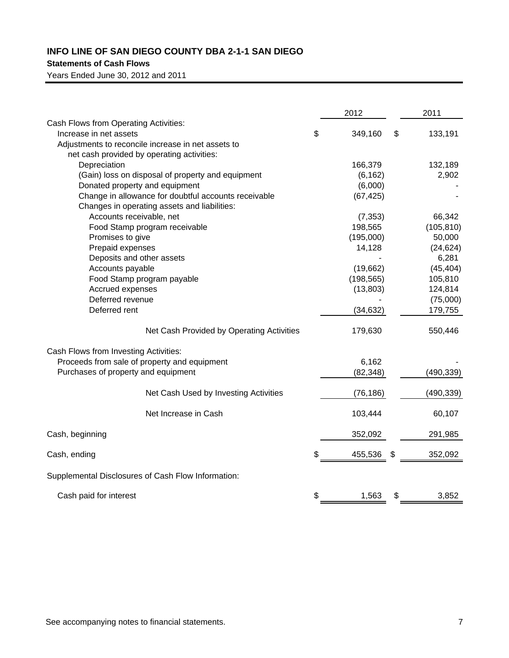# **Statements of Cash Flows**

Years Ended June 30, 2012 and 2011

|                                       |                                                      | 2012          | 2011          |
|---------------------------------------|------------------------------------------------------|---------------|---------------|
| Cash Flows from Operating Activities: |                                                      |               |               |
| Increase in net assets                |                                                      | \$<br>349,160 | \$<br>133,191 |
|                                       | Adjustments to reconcile increase in net assets to   |               |               |
|                                       | net cash provided by operating activities:           |               |               |
| Depreciation                          |                                                      | 166,379       | 132,189       |
|                                       | (Gain) loss on disposal of property and equipment    | (6, 162)      | 2,902         |
|                                       | Donated property and equipment                       | (6,000)       |               |
|                                       | Change in allowance for doubtful accounts receivable | (67, 425)     |               |
|                                       | Changes in operating assets and liabilities:         |               |               |
| Accounts receivable, net              |                                                      | (7, 353)      | 66,342        |
|                                       | Food Stamp program receivable                        | 198,565       | (105, 810)    |
| Promises to give                      |                                                      | (195,000)     | 50,000        |
| Prepaid expenses                      |                                                      | 14,128        | (24, 624)     |
| Deposits and other assets             |                                                      |               | 6,281         |
| Accounts payable                      |                                                      | (19,662)      | (45, 404)     |
|                                       | Food Stamp program payable                           | (198, 565)    | 105,810       |
| Accrued expenses                      |                                                      | (13,803)      | 124,814       |
| Deferred revenue                      |                                                      |               | (75,000)      |
| Deferred rent                         |                                                      | (34, 632)     | 179,755       |
|                                       | Net Cash Provided by Operating Activities            | 179,630       | 550,446       |
| Cash Flows from Investing Activities: |                                                      |               |               |
|                                       | Proceeds from sale of property and equipment         | 6,162         |               |
| Purchases of property and equipment   |                                                      | (82, 348)     | (490, 339)    |
|                                       | Net Cash Used by Investing Activities                | (76, 186)     | (490, 339)    |
|                                       | Net Increase in Cash                                 | 103,444       | 60,107        |
| Cash, beginning                       |                                                      | 352,092       | 291,985       |
| Cash, ending                          |                                                      | \$<br>455,536 | \$<br>352,092 |
|                                       | Supplemental Disclosures of Cash Flow Information:   |               |               |
| Cash paid for interest                |                                                      | \$<br>1,563   | \$<br>3,852   |
|                                       |                                                      |               |               |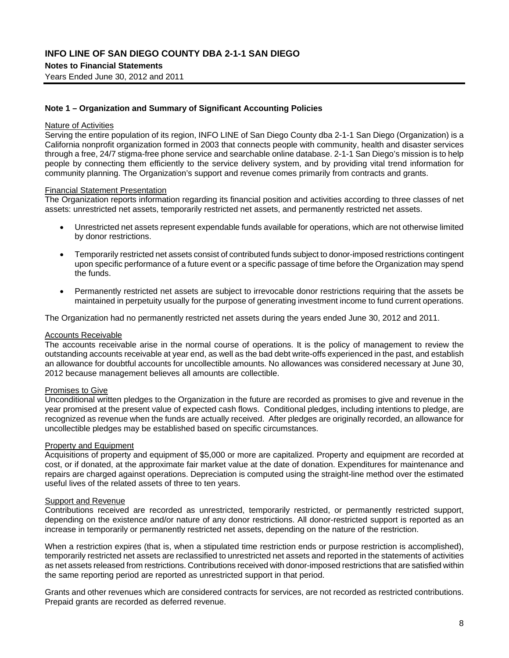Years Ended June 30, 2012 and 2011

#### **Note 1 – Organization and Summary of Significant Accounting Policies**

#### Nature of Activities

Serving the entire population of its region, INFO LINE of San Diego County dba 2-1-1 San Diego (Organization) is a California nonprofit organization formed in 2003 that connects people with community, health and disaster services through a free, 24/7 stigma-free phone service and searchable online database. 2-1-1 San Diego's mission is to help people by connecting them efficiently to the service delivery system, and by providing vital trend information for community planning. The Organization's support and revenue comes primarily from contracts and grants.

#### Financial Statement Presentation

The Organization reports information regarding its financial position and activities according to three classes of net assets: unrestricted net assets, temporarily restricted net assets, and permanently restricted net assets.

- Unrestricted net assets represent expendable funds available for operations, which are not otherwise limited by donor restrictions.
- Temporarily restricted net assets consist of contributed funds subject to donor-imposed restrictions contingent upon specific performance of a future event or a specific passage of time before the Organization may spend the funds.
- Permanently restricted net assets are subject to irrevocable donor restrictions requiring that the assets be maintained in perpetuity usually for the purpose of generating investment income to fund current operations.

The Organization had no permanently restricted net assets during the years ended June 30, 2012 and 2011.

#### Accounts Receivable

The accounts receivable arise in the normal course of operations. It is the policy of management to review the outstanding accounts receivable at year end, as well as the bad debt write-offs experienced in the past, and establish an allowance for doubtful accounts for uncollectible amounts. No allowances was considered necessary at June 30, 2012 because management believes all amounts are collectible.

#### Promises to Give

Unconditional written pledges to the Organization in the future are recorded as promises to give and revenue in the year promised at the present value of expected cash flows. Conditional pledges, including intentions to pledge, are recognized as revenue when the funds are actually received. After pledges are originally recorded, an allowance for uncollectible pledges may be established based on specific circumstances.

#### Property and Equipment

Acquisitions of property and equipment of \$5,000 or more are capitalized. Property and equipment are recorded at cost, or if donated, at the approximate fair market value at the date of donation. Expenditures for maintenance and repairs are charged against operations. Depreciation is computed using the straight-line method over the estimated useful lives of the related assets of three to ten years.

#### Support and Revenue

Contributions received are recorded as unrestricted, temporarily restricted, or permanently restricted support, depending on the existence and/or nature of any donor restrictions. All donor-restricted support is reported as an increase in temporarily or permanently restricted net assets, depending on the nature of the restriction.

When a restriction expires (that is, when a stipulated time restriction ends or purpose restriction is accomplished), temporarily restricted net assets are reclassified to unrestricted net assets and reported in the statements of activities as net assets released from restrictions. Contributions received with donor-imposed restrictions that are satisfied within the same reporting period are reported as unrestricted support in that period.

Grants and other revenues which are considered contracts for services, are not recorded as restricted contributions. Prepaid grants are recorded as deferred revenue.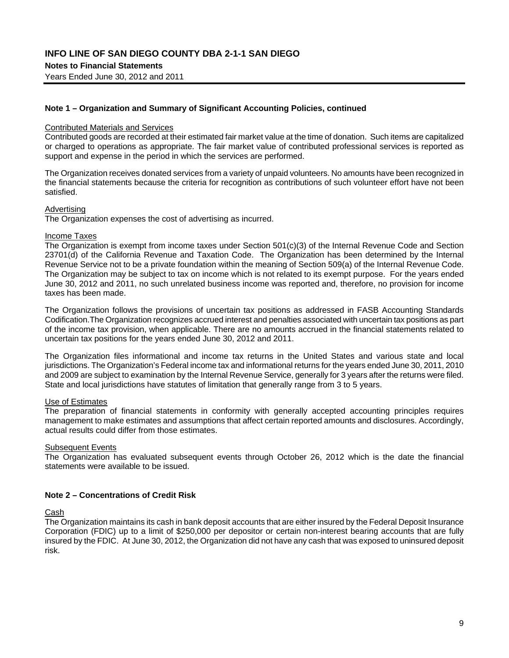**Notes to Financial Statements** 

Years Ended June 30, 2012 and 2011

#### **Note 1 – Organization and Summary of Significant Accounting Policies, continued**

#### Contributed Materials and Services

Contributed goods are recorded at their estimated fair market value at the time of donation. Such items are capitalized or charged to operations as appropriate. The fair market value of contributed professional services is reported as support and expense in the period in which the services are performed.

The Organization receives donated services from a variety of unpaid volunteers. No amounts have been recognized in the financial statements because the criteria for recognition as contributions of such volunteer effort have not been satisfied.

#### Advertising

The Organization expenses the cost of advertising as incurred.

#### Income Taxes

The Organization is exempt from income taxes under Section 501(c)(3) of the Internal Revenue Code and Section 23701(d) of the California Revenue and Taxation Code. The Organization has been determined by the Internal Revenue Service not to be a private foundation within the meaning of Section 509(a) of the Internal Revenue Code. The Organization may be subject to tax on income which is not related to its exempt purpose. For the years ended June 30, 2012 and 2011, no such unrelated business income was reported and, therefore, no provision for income taxes has been made.

The Organization follows the provisions of uncertain tax positions as addressed in FASB Accounting Standards Codification.The Organization recognizes accrued interest and penalties associated with uncertain tax positions as part of the income tax provision, when applicable. There are no amounts accrued in the financial statements related to uncertain tax positions for the years ended June 30, 2012 and 2011.

The Organization files informational and income tax returns in the United States and various state and local jurisdictions. The Organization's Federal income tax and informational returns for the years ended June 30, 2011, 2010 and 2009 are subject to examination by the Internal Revenue Service, generally for 3 years after the returns were filed. State and local jurisdictions have statutes of limitation that generally range from 3 to 5 years.

#### Use of Estimates

The preparation of financial statements in conformity with generally accepted accounting principles requires management to make estimates and assumptions that affect certain reported amounts and disclosures. Accordingly, actual results could differ from those estimates.

#### **Subsequent Events**

The Organization has evaluated subsequent events through October 26, 2012 which is the date the financial statements were available to be issued.

#### **Note 2 – Concentrations of Credit Risk**

Cash

The Organization maintains its cash in bank deposit accounts that are either insured by the Federal Deposit Insurance Corporation (FDIC) up to a limit of \$250,000 per depositor or certain non-interest bearing accounts that are fully insured by the FDIC. At June 30, 2012, the Organization did not have any cash that was exposed to uninsured deposit risk.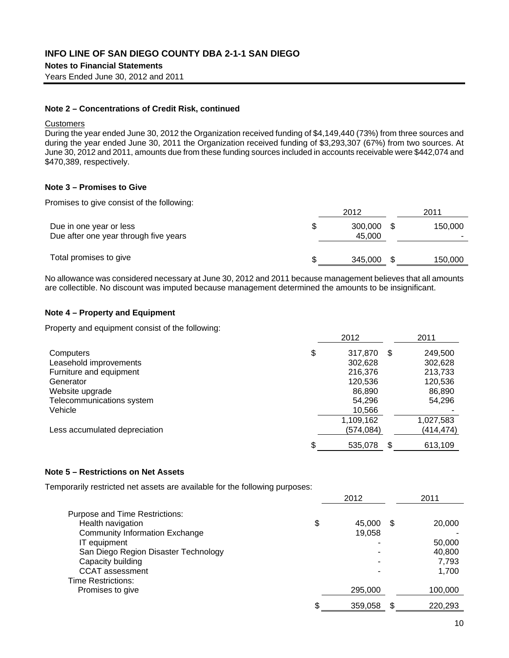Years Ended June 30, 2012 and 2011

#### **Note 2 – Concentrations of Credit Risk, continued**

#### **Customers**

During the year ended June 30, 2012 the Organization received funding of \$4,149,440 (73%) from three sources and during the year ended June 30, 2011 the Organization received funding of \$3,293,307 (67%) from two sources. At June 30, 2012 and 2011, amounts due from these funding sources included in accounts receivable were \$442,074 and \$470,389, respectively.

#### **Note 3 – Promises to Give**

Promises to give consist of the following:

|                                                                  | 2012              | 2011    |
|------------------------------------------------------------------|-------------------|---------|
| Due in one year or less<br>Due after one year through five years | 300,000<br>45,000 | 150,000 |
| Total promises to give                                           | 345,000           | 150,000 |

No allowance was considered necessary at June 30, 2012 and 2011 because management believes that all amounts are collectible. No discount was imputed because management determined the amounts to be insignificant.

#### **Note 4 – Property and Equipment**

Property and equipment consist of the following:

|                               | 2012          |     | 2011      |
|-------------------------------|---------------|-----|-----------|
| Computers                     | \$<br>317.870 | \$  | 249,500   |
| Leasehold improvements        | 302,628       |     | 302,628   |
| Furniture and equipment       | 216,376       |     | 213,733   |
| Generator                     | 120.536       |     | 120,536   |
| Website upgrade               | 86.890        |     | 86,890    |
| Telecommunications system     | 54,296        |     | 54,296    |
| Vehicle                       | 10,566        |     |           |
|                               | 1,109,162     |     | 1,027,583 |
| Less accumulated depreciation | (574,084)     |     | (414,474) |
|                               | \$<br>535,078 | \$. | 613,109   |

#### **Note 5 – Restrictions on Net Assets**

Temporarily restricted net assets are available for the following purposes:

|                                       | 2012          |     | 2011    |
|---------------------------------------|---------------|-----|---------|
| <b>Purpose and Time Restrictions:</b> |               |     |         |
| Health navigation                     | \$<br>45.000  | \$. | 20,000  |
| <b>Community Information Exchange</b> | 19.058        |     |         |
| IT equipment                          |               |     | 50,000  |
| San Diego Region Disaster Technology  |               |     | 40,800  |
| Capacity building                     |               |     | 7,793   |
| <b>CCAT</b> assessment                |               |     | 1,700   |
| Time Restrictions:                    |               |     |         |
| Promises to give                      | 295,000       |     | 100,000 |
|                                       | \$<br>359.058 |     | 220.293 |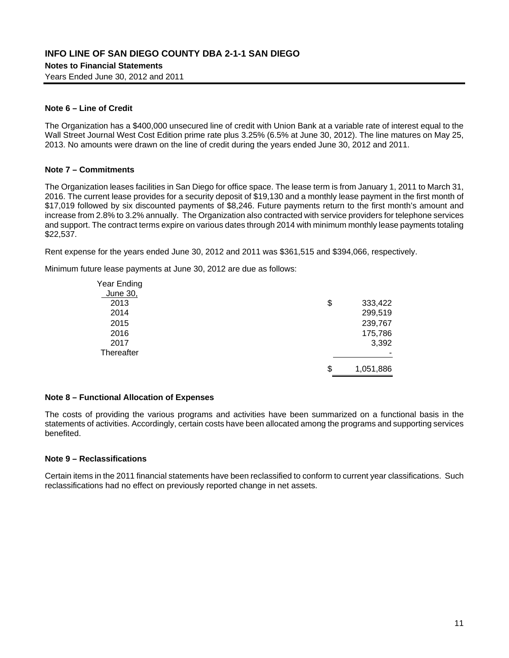#### **Notes to Financial Statements**

Years Ended June 30, 2012 and 2011

#### **Note 6 – Line of Credit**

The Organization has a \$400,000 unsecured line of credit with Union Bank at a variable rate of interest equal to the Wall Street Journal West Cost Edition prime rate plus 3.25% (6.5% at June 30, 2012). The line matures on May 25, 2013. No amounts were drawn on the line of credit during the years ended June 30, 2012 and 2011.

#### **Note 7 – Commitments**

The Organization leases facilities in San Diego for office space. The lease term is from January 1, 2011 to March 31, 2016. The current lease provides for a security deposit of \$19,130 and a monthly lease payment in the first month of \$17,019 followed by six discounted payments of \$8,246. Future payments return to the first month's amount and increase from 2.8% to 3.2% annually. The Organization also contracted with service providers for telephone services and support. The contract terms expire on various dates through 2014 with minimum monthly lease payments totaling \$22,537.

Rent expense for the years ended June 30, 2012 and 2011 was \$361,515 and \$394,066, respectively.

Minimum future lease payments at June 30, 2012 are due as follows:

| Year Ending       |                 |
|-------------------|-----------------|
| June 30,          |                 |
| 2013              | \$<br>333,422   |
| 2014              | 299,519         |
| 2015              | 239,767         |
| 2016              | 175,786         |
| 2017              | 3,392           |
| <b>Thereafter</b> |                 |
|                   | \$<br>1,051,886 |

#### **Note 8 – Functional Allocation of Expenses**

The costs of providing the various programs and activities have been summarized on a functional basis in the statements of activities. Accordingly, certain costs have been allocated among the programs and supporting services benefited.

#### **Note 9 – Reclassifications**

Certain items in the 2011 financial statements have been reclassified to conform to current year classifications. Such reclassifications had no effect on previously reported change in net assets.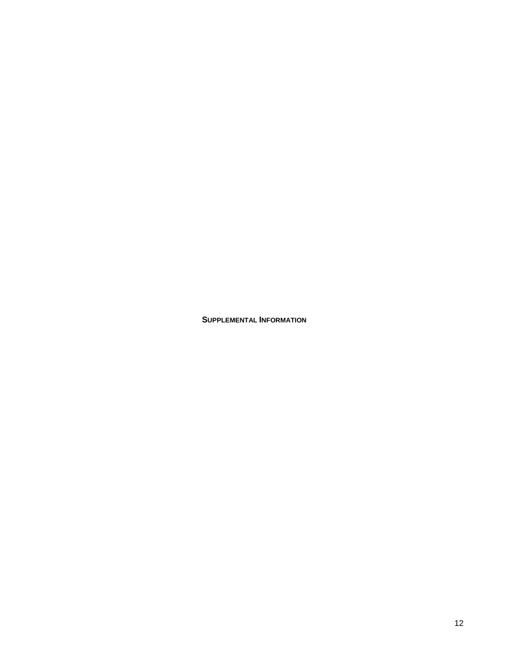**SUPPLEMENTAL INFORMATION**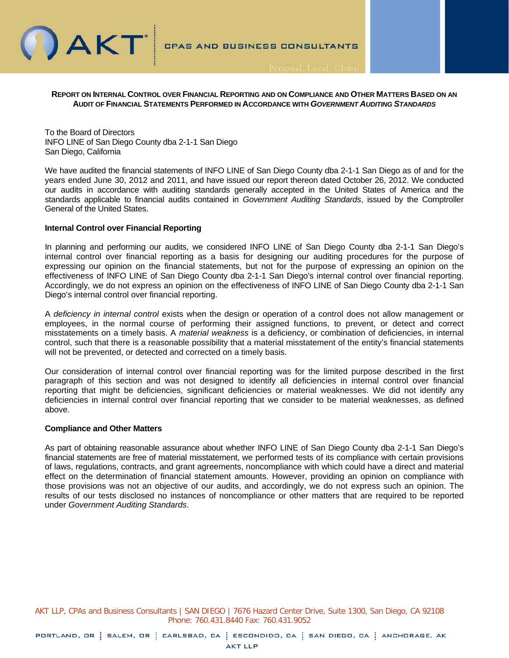

#### **REPORT ON INTERNAL CONTROL OVER FINANCIAL REPORTING AND ON COMPLIANCE AND OTHER MATTERS BASED ON AN AUDIT OF FINANCIAL STATEMENTS PERFORMED IN ACCORDANCE WITH** *GOVERNMENT AUDITING STANDARDS*

To the Board of Directors INFO LINE of San Diego County dba 2-1-1 San Diego San Diego, California

We have audited the financial statements of INFO LINE of San Diego County dba 2-1-1 San Diego as of and for the years ended June 30, 2012 and 2011, and have issued our report thereon dated October 26, 2012. We conducted our audits in accordance with auditing standards generally accepted in the United States of America and the standards applicable to financial audits contained in *Government Auditing Standards*, issued by the Comptroller General of the United States.

#### **Internal Control over Financial Reporting**

In planning and performing our audits, we considered INFO LINE of San Diego County dba 2-1-1 San Diego's internal control over financial reporting as a basis for designing our auditing procedures for the purpose of expressing our opinion on the financial statements, but not for the purpose of expressing an opinion on the effectiveness of INFO LINE of San Diego County dba 2-1-1 San Diego's internal control over financial reporting. Accordingly, we do not express an opinion on the effectiveness of INFO LINE of San Diego County dba 2-1-1 San Diego's internal control over financial reporting.

A *deficiency in internal control* exists when the design or operation of a control does not allow management or employees, in the normal course of performing their assigned functions, to prevent, or detect and correct misstatements on a timely basis. A *material weakness* is a deficiency, or combination of deficiencies, in internal control, such that there is a reasonable possibility that a material misstatement of the entity's financial statements will not be prevented, or detected and corrected on a timely basis.

Our consideration of internal control over financial reporting was for the limited purpose described in the first paragraph of this section and was not designed to identify all deficiencies in internal control over financial reporting that might be deficiencies, significant deficiencies or material weaknesses. We did not identify any deficiencies in internal control over financial reporting that we consider to be material weaknesses, as defined above.

#### **Compliance and Other Matters**

As part of obtaining reasonable assurance about whether INFO LINE of San Diego County dba 2-1-1 San Diego's financial statements are free of material misstatement, we performed tests of its compliance with certain provisions of laws, regulations, contracts, and grant agreements, noncompliance with which could have a direct and material effect on the determination of financial statement amounts. However, providing an opinion on compliance with those provisions was not an objective of our audits, and accordingly, we do not express such an opinion. The results of our tests disclosed no instances of noncompliance or other matters that are required to be reported under *Government Auditing Standards*.

AKT LLP, CPAs and Business Consultants | SAN DIEGO | 7676 Hazard Center Drive, Suite 1300, San Diego, CA 92108 Phone: 760.431.8440 Fax: 760.431.9052

PORTLAND, OR | SALEM, OR | CARLSBAD, CA | ESCONDIDO, CA | SAN DIEGO, CA | ANCHORAGE, AK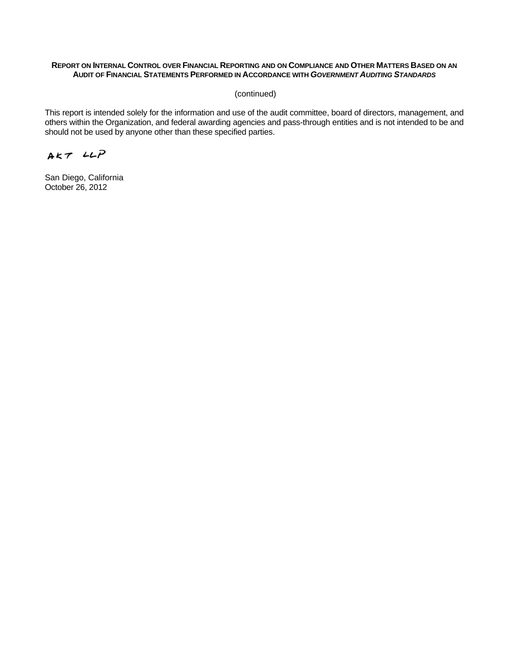#### **REPORT ON INTERNAL CONTROL OVER FINANCIAL REPORTING AND ON COMPLIANCE AND OTHER MATTERS BASED ON AN AUDIT OF FINANCIAL STATEMENTS PERFORMED IN ACCORDANCE WITH** *GOVERNMENT AUDITING STANDARDS*

(continued)

This report is intended solely for the information and use of the audit committee, board of directors, management, and others within the Organization, and federal awarding agencies and pass-through entities and is not intended to be and should not be used by anyone other than these specified parties.

 $AKTLLP$ 

San Diego, California October 26, 2012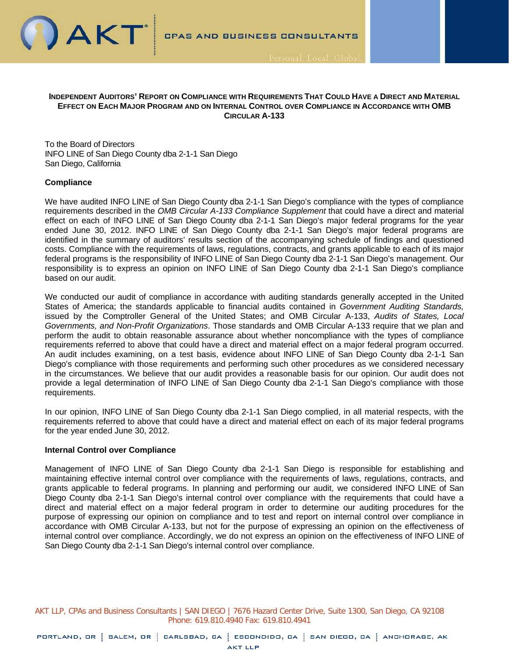

#### **INDEPENDENT AUDITORS' REPORT ON COMPLIANCE WITH REQUIREMENTS THAT COULD HAVE A DIRECT AND MATERIAL EFFECT ON EACH MAJOR PROGRAM AND ON INTERNAL CONTROL OVER COMPLIANCE IN ACCORDANCE WITH OMB CIRCULAR A-133**

To the Board of Directors INFO LINE of San Diego County dba 2-1-1 San Diego San Diego, California

#### **Compliance**

We have audited INFO LINE of San Diego County dba 2-1-1 San Diego's compliance with the types of compliance requirements described in the *OMB Circular A-133 Compliance Supplement* that could have a direct and material effect on each of INFO LINE of San Diego County dba 2-1-1 San Diego's major federal programs for the year ended June 30, 2012. INFO LINE of San Diego County dba 2-1-1 San Diego's major federal programs are identified in the summary of auditors' results section of the accompanying schedule of findings and questioned costs. Compliance with the requirements of laws, regulations, contracts, and grants applicable to each of its major federal programs is the responsibility of INFO LINE of San Diego County dba 2-1-1 San Diego's management. Our responsibility is to express an opinion on INFO LINE of San Diego County dba 2-1-1 San Diego's compliance based on our audit.

We conducted our audit of compliance in accordance with auditing standards generally accepted in the United States of America; the standards applicable to financial audits contained in *Government Auditing Standards,* issued by the Comptroller General of the United States; and OMB Circular A-133, *Audits of States, Local Governments, and Non-Profit Organizations*. Those standards and OMB Circular A-133 require that we plan and perform the audit to obtain reasonable assurance about whether noncompliance with the types of compliance requirements referred to above that could have a direct and material effect on a major federal program occurred. An audit includes examining, on a test basis, evidence about INFO LINE of San Diego County dba 2-1-1 San Diego's compliance with those requirements and performing such other procedures as we considered necessary in the circumstances. We believe that our audit provides a reasonable basis for our opinion. Our audit does not provide a legal determination of INFO LINE of San Diego County dba 2-1-1 San Diego's compliance with those requirements.

In our opinion, INFO LINE of San Diego County dba 2-1-1 San Diego complied, in all material respects, with the requirements referred to above that could have a direct and material effect on each of its major federal programs for the year ended June 30, 2012.

#### **Internal Control over Compliance**

Management of INFO LINE of San Diego County dba 2-1-1 San Diego is responsible for establishing and maintaining effective internal control over compliance with the requirements of laws, regulations, contracts, and grants applicable to federal programs. In planning and performing our audit, we considered INFO LINE of San Diego County dba 2-1-1 San Diego's internal control over compliance with the requirements that could have a direct and material effect on a major federal program in order to determine our auditing procedures for the purpose of expressing our opinion on compliance and to test and report on internal control over compliance in accordance with OMB Circular A-133, but not for the purpose of expressing an opinion on the effectiveness of internal control over compliance. Accordingly, we do not express an opinion on the effectiveness of INFO LINE of San Diego County dba 2-1-1 San Diego's internal control over compliance.

AKT LLP, CPAs and Business Consultants | SAN DIEGO | 7676 Hazard Center Drive, Suite 1300, San Diego, CA 92108 Phone: 619.810.4940 Fax: 619.810.4941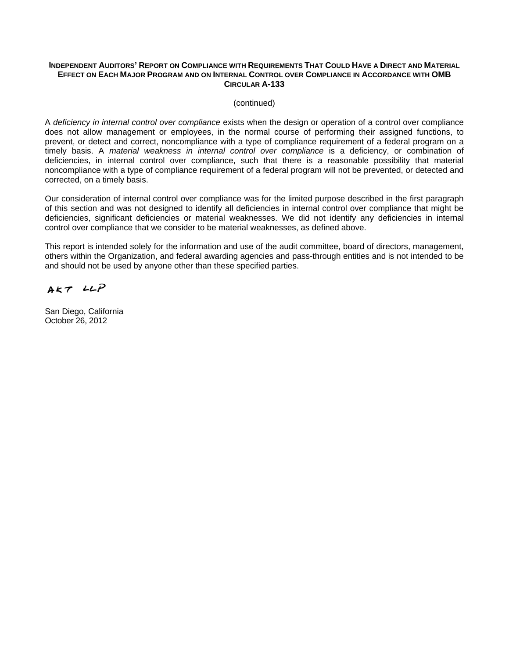#### **INDEPENDENT AUDITORS' REPORT ON COMPLIANCE WITH REQUIREMENTS THAT COULD HAVE A DIRECT AND MATERIAL EFFECT ON EACH MAJOR PROGRAM AND ON INTERNAL CONTROL OVER COMPLIANCE IN ACCORDANCE WITH OMB CIRCULAR A-133**

(continued)

A *deficiency in internal control over compliance* exists when the design or operation of a control over compliance does not allow management or employees, in the normal course of performing their assigned functions, to prevent, or detect and correct, noncompliance with a type of compliance requirement of a federal program on a timely basis. A *material weakness in internal control over compliance* is a deficiency, or combination of deficiencies, in internal control over compliance, such that there is a reasonable possibility that material noncompliance with a type of compliance requirement of a federal program will not be prevented, or detected and corrected, on a timely basis.

Our consideration of internal control over compliance was for the limited purpose described in the first paragraph of this section and was not designed to identify all deficiencies in internal control over compliance that might be deficiencies, significant deficiencies or material weaknesses. We did not identify any deficiencies in internal control over compliance that we consider to be material weaknesses, as defined above.

This report is intended solely for the information and use of the audit committee, board of directors, management, others within the Organization, and federal awarding agencies and pass-through entities and is not intended to be and should not be used by anyone other than these specified parties.

 $AKTLLP$ 

San Diego, California October 26, 2012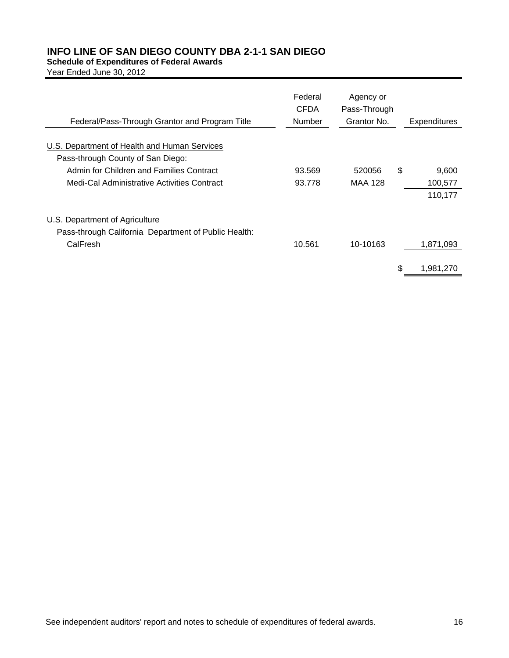#### **Schedule of Expenditures of Federal Awards**

| Federal/Pass-Through Grantor and Program Title       | Federal<br><b>CFDA</b><br><b>Number</b> | Agency or<br>Pass-Through<br>Grantor No. | <b>Expenditures</b> |
|------------------------------------------------------|-----------------------------------------|------------------------------------------|---------------------|
| U.S. Department of Health and Human Services         |                                         |                                          |                     |
| Pass-through County of San Diego:                    |                                         |                                          |                     |
| Admin for Children and Families Contract             | 93.569                                  | 520056                                   | \$<br>9,600         |
| Medi-Cal Administrative Activities Contract          | 93.778                                  | <b>MAA 128</b>                           | 100,577             |
|                                                      |                                         |                                          | 110,177             |
| U.S. Department of Agriculture                       |                                         |                                          |                     |
| Pass-through California Department of Public Health: |                                         |                                          |                     |
| CalFresh                                             | 10.561                                  | 10-10163                                 | 1,871,093           |
|                                                      |                                         |                                          | \$<br>1,981,270     |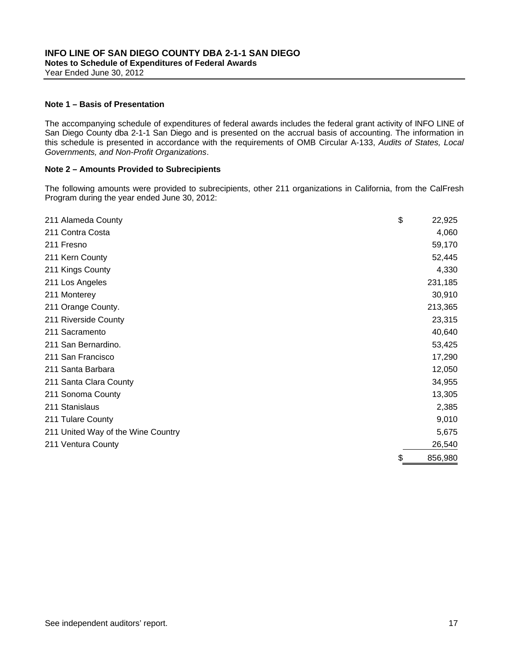#### **Note 1 – Basis of Presentation**

The accompanying schedule of expenditures of federal awards includes the federal grant activity of INFO LINE of San Diego County dba 2-1-1 San Diego and is presented on the accrual basis of accounting. The information in this schedule is presented in accordance with the requirements of OMB Circular A-133, *Audits of States, Local Governments, and Non-Profit Organizations*.

#### **Note 2 – Amounts Provided to Subrecipients**

The following amounts were provided to subrecipients, other 211 organizations in California, from the CalFresh Program during the year ended June 30, 2012:

| 211 Alameda County                 | \$<br>22,925  |
|------------------------------------|---------------|
| 211 Contra Costa                   | 4,060         |
| 211 Fresno                         | 59,170        |
| 211 Kern County                    | 52,445        |
| 211 Kings County                   | 4,330         |
| 211 Los Angeles                    | 231,185       |
| 211 Monterey                       | 30,910        |
| 211 Orange County.                 | 213,365       |
| 211 Riverside County               | 23,315        |
| 211 Sacramento                     | 40,640        |
| 211 San Bernardino.                | 53,425        |
| 211 San Francisco                  | 17,290        |
| 211 Santa Barbara                  | 12,050        |
| 211 Santa Clara County             | 34,955        |
| 211 Sonoma County                  | 13,305        |
| 211 Stanislaus                     | 2,385         |
| 211 Tulare County                  | 9,010         |
| 211 United Way of the Wine Country | 5,675         |
| 211 Ventura County                 | 26,540        |
|                                    | \$<br>856,980 |